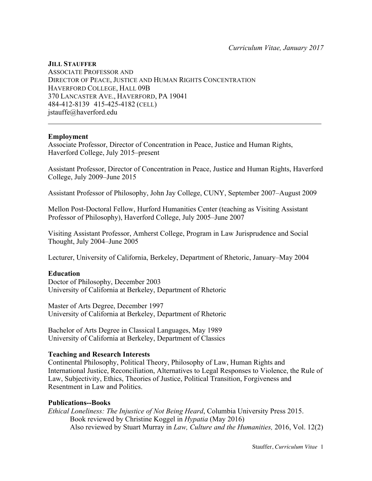# **JILL STAUFFER**

ASSOCIATE PROFESSOR AND DIRECTOR OF PEACE, JUSTICE AND HUMAN RIGHTS CONCENTRATION HAVERFORD COLLEGE, HALL 09B 370 LANCASTER AVE., HAVERFORD, PA 19041 484-412-8139 415-425-4182 (CELL) jstauffe@haverford.edu

## **Employment**

Associate Professor, Director of Concentration in Peace, Justice and Human Rights, Haverford College, July 2015–present

Assistant Professor, Director of Concentration in Peace, Justice and Human Rights, Haverford College, July 2009–June 2015

 $\mathcal{L}_\text{max}$  , and the set of the set of the set of the set of the set of the set of the set of the set of the set of the set of the set of the set of the set of the set of the set of the set of the set of the set of the

Assistant Professor of Philosophy, John Jay College, CUNY, September 2007–August 2009

Mellon Post-Doctoral Fellow, Hurford Humanities Center (teaching as Visiting Assistant Professor of Philosophy), Haverford College, July 2005–June 2007

Visiting Assistant Professor, Amherst College, Program in Law Jurisprudence and Social Thought, July 2004–June 2005

Lecturer, University of California, Berkeley, Department of Rhetoric, January–May 2004

## **Education**

Doctor of Philosophy, December 2003 University of California at Berkeley, Department of Rhetoric

Master of Arts Degree, December 1997 University of California at Berkeley, Department of Rhetoric

Bachelor of Arts Degree in Classical Languages, May 1989 University of California at Berkeley, Department of Classics

### **Teaching and Research Interests**

Continental Philosophy, Political Theory, Philosophy of Law, Human Rights and International Justice, Reconciliation, Alternatives to Legal Responses to Violence, the Rule of Law, Subjectivity, Ethics, Theories of Justice, Political Transition, Forgiveness and Resentment in Law and Politics.

### **Publications--Books**

*Ethical Loneliness: The Injustice of Not Being Heard*, Columbia University Press 2015. Book reviewed by Christine Koggel in *Hypatia* (May 2016) Also reviewed by Stuart Murray in *Law, Culture and the Humanities,* 2016, Vol. 12(2)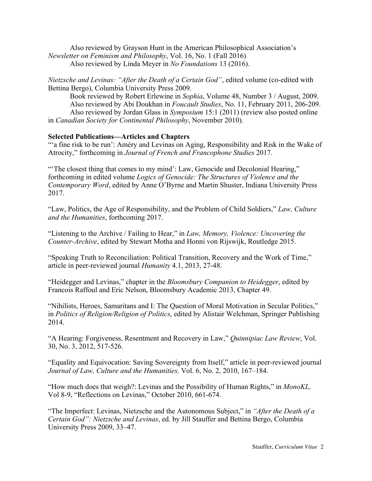Also reviewed by Grayson Hunt in the American Philosophical Association's *Newsletter on Feminism and Philosophy*, Vol. 16, No. 1 (Fall 2016) Also reviewed by Linda Meyer in *No Foundations* 13 (2016).

*Nietzsche and Levinas: "After the Death of a Certain God"*, edited volume (co-edited with Bettina Bergo), Columbia University Press 2009.

Book reviewed by Robert Erlewine in *Sophia*, Volume 48, Number 3 / August, 2009. Also reviewed by Abi Doukhan in *Foucault Studies*, No. 11, February 2011, 206-209. Also reviewed by Jordan Glass in *Symposium* 15:1 (2011) (review also posted online in *Canadian Society for Continental Philosophy*, November 2010).

## **Selected Publications—Articles and Chapters**

"" a fine risk to be run': Améry and Levinas on Aging, Responsibility and Risk in the Wake of Atrocity," forthcoming in *Journal of French and Francophone Studies* 2017.

"'The closest thing that comes to my mind': Law, Genocide and Decolonial Hearing," forthcoming in edited volume *Logics of Genocide: The Structures of Violence and the Contemporary Word*, edited by Anne O'Byrne and Martin Shuster, Indiana University Press 2017.

"Law, Politics, the Age of Responsibility, and the Problem of Child Soldiers," *Law, Culture and the Humanities*, forthcoming 2017.

"Listening to the Archive / Failing to Hear," in *Law, Memory, Violence: Uncovering the Counter-Archive*, edited by Stewart Motha and Honni von Rijswijk, Routledge 2015.

"Speaking Truth to Reconciliation: Political Transition, Recovery and the Work of Time," article in peer-reviewed journal *Humanity* 4.1, 2013, 27-48.

"Heidegger and Levinas," chapter in the *Bloomsbury Companion to Heidegger*, edited by Francois Raffoul and Eric Nelson, Bloomsbury Academic 2013, Chapter 49.

"Nihilists, Heroes, Samaritans and I: The Question of Moral Motivation in Secular Politics," in *Politics of Religion/Religion of Politics*, edited by Alistair Welchman, Springer Publishing 2014.

"A Hearing: Forgiveness, Resentment and Recovery in Law," *Quinnipiac Law Review*, Vol. 30, No. 3, 2012, 517-526.

"Equality and Equivocation: Saving Sovereignty from Itself," article in peer-reviewed journal *Journal of Law, Culture and the Humanities,* Vol. 6, No. 2, 2010, 167–184.

"How much does that weigh?: Levinas and the Possibility of Human Rights," in *MonoKL,* Vol 8-9, "Reflections on Levinas," October 2010, 661-674.

"The Imperfect: Levinas, Nietzsche and the Autonomous Subject," in *"After the Death of a Certain God": Nietzsche and Levinas*, ed. by Jill Stauffer and Bettina Bergo, Columbia University Press 2009, 33–47.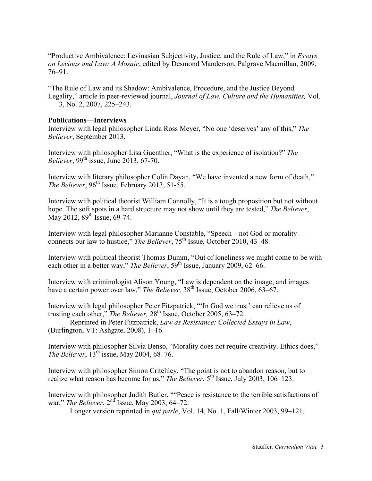"Productive Ambivalence: Levinasian Subjectivity, Justice, and the Rule of Law," in *Essays on Levinas and Law: A Mosaic*, edited by Desmond Manderson, Palgrave Macmillan, 2009, 76–91.

"The Rule of Law and its Shadow: Ambivalence, Procedure, and the Justice Beyond Legality," article in peer-reviewed journal, *Journal of Law, Culture and the Humanities,* Vol. 3, No. 2, 2007, 225–243.

### **Publications—Interviews**

Interview with legal philosopher Linda Ross Meyer, "No one 'deserves' any of this," *The Believer*, September 2013.

Interview with philosopher Lisa Guenther, "What is the experience of isolation?" *The Believer*, 99<sup>th</sup> issue, June 2013, 67-70.

Interview with literary philosopher Colin Dayan, "We have invented a new form of death," *The Believer*,  $96<sup>th</sup>$  Issue, February 2013, 51-55.

Interview with political theorist William Connolly, "It is a tough proposition but not without hope. The soft spots in a hard structure may not show until they are tested," *The Believer*, May 2012,  $89^{th}$  Issue, 69-74.

Interview with legal philosopher Marianne Constable, "Speech—not God or morality connects our law to hustice," *The Believer*, 75<sup>th</sup> Issue, October 2010, 43–48.

Interview with political theorist Thomas Dumm, "Out of loneliness we might come to be with each other in a better way," *The Believer*, 59<sup>th</sup> Issue, January 2009, 62–66.

Interview with criminologist Alison Young, "Law is dependent on the image, and images have a certain power over law," *The Believer*,  $38<sup>th</sup>$  Issue, October 2006, 63–67.

Interview with legal philosopher Peter Fitzpatrick, "'In God we trust' can relieve us of trusting each other," *The Believer*, 28<sup>th</sup> Issue, October 2005, 63-72.

Reprinted in Peter Fitzpatrick, *Law as Resistance: Collected Essays in Law*, (Burlington, VT: Ashgate, 2008), 1–16.

Interview with philosopher Silvia Benso, "Morality does not require creativity. Ethics does," *The Believer*, 13<sup>th</sup> issue, May 2004, 68–76.

Interview with philosopher Simon Critchley, "The point is not to abandon reason, but to realize what reason has become for us," *The Believer*, 5<sup>th</sup> Issue, July 2003, 106–123.

Interview with philosopher Judith Butler, ""Peace is resistance to the terrible satisfactions of war," *The Believer*, 2nd Issue, May 2003, 64–72.

Longer version reprinted in *qui parle*, Vol. 14, No. 1, Fall/Winter 2003, 99–121.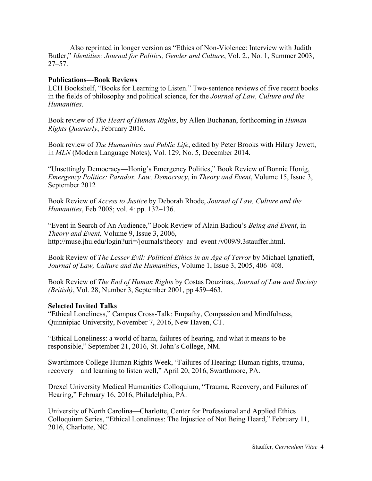Also reprinted in longer version as "Ethics of Non-Violence: Interview with Judith Butler," *Identities: Journal for Politics, Gender and Culture*, Vol. 2., No. 1, Summer 2003, 27–57.

## **Publications—Book Reviews**

LCH Bookshelf, "Books for Learning to Listen." Two-sentence reviews of five recent books in the fields of philosophy and political science, for the *Journal of Law, Culture and the Humanities*.

Book review of *The Heart of Human Rights*, by Allen Buchanan, forthcoming in *Human Rights Quarterly*, February 2016.

Book review of *The Humanities and Public Life*, edited by Peter Brooks with Hilary Jewett, in *MLN* (Modern Language Notes), Vol. 129, No. 5, December 2014.

"Unsettingly Democracy—Honig's Emergency Politics," Book Review of Bonnie Honig, *Emergency Politics: Paradox, Law, Democracy*, in *Theory and Event*, Volume 15, Issue 3, September 2012

Book Review of *Access to Justice* by Deborah Rhode, *Journal of Law, Culture and the Humanities*, Feb 2008; vol. 4: pp. 132–136.

"Event in Search of An Audience," Book Review of Alain Badiou's *Being and Event*, in *Theory and Event,* Volume 9, Issue 3, 2006, http://muse.jhu.edu/login?uri=/journals/theory\_and\_event /v009/9.3stauffer.html.

Book Review of *The Lesser Evil: Political Ethics in an Age of Terror* by Michael Ignatieff, *Journal of Law, Culture and the Humanities*, Volume 1, Issue 3, 2005, 406–408.

Book Review of *The End of Human Rights* by Costas Douzinas, *Journal of Law and Society (British)*, Vol. 28, Number 3, September 2001, pp 459–463.

### **Selected Invited Talks**

"Ethical Loneliness," Campus Cross-Talk: Empathy, Compassion and Mindfulness, Quinnipiac University, November 7, 2016, New Haven, CT.

"Ethical Loneliness: a world of harm, failures of hearing, and what it means to be responsible," September 21, 2016, St. John's College, NM.

Swarthmore College Human Rights Week, "Failures of Hearing: Human rights, trauma, recovery—and learning to listen well," April 20, 2016, Swarthmore, PA.

Drexel University Medical Humanities Colloquium, "Trauma, Recovery, and Failures of Hearing," February 16, 2016, Philadelphia, PA.

University of North Carolina—Charlotte, Center for Professional and Applied Ethics Colloquium Series, "Ethical Loneliness: The Injustice of Not Being Heard," February 11, 2016, Charlotte, NC.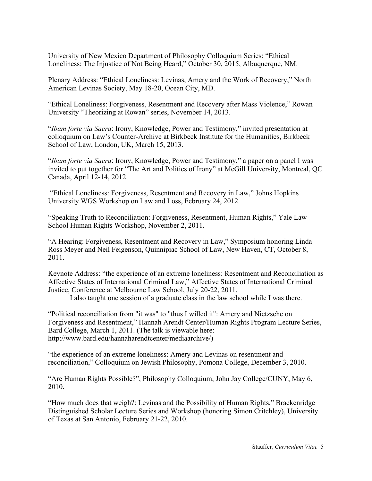University of New Mexico Department of Philosophy Colloquium Series: "Ethical Loneliness: The Injustice of Not Being Heard," October 30, 2015, Albuquerque, NM.

Plenary Address: "Ethical Loneliness: Levinas, Amery and the Work of Recovery," North American Levinas Society, May 18-20, Ocean City, MD.

"Ethical Loneliness: Forgiveness, Resentment and Recovery after Mass Violence," Rowan University "Theorizing at Rowan" series, November 14, 2013.

"*Ibam forte via Sacra*: Irony, Knowledge, Power and Testimony," invited presentation at colloquium on Law's Counter-Archive at Birkbeck Institute for the Humanities, Birkbeck School of Law, London, UK, March 15, 2013.

"*Ibam forte via Sacra*: Irony, Knowledge, Power and Testimony," a paper on a panel I was invited to put together for "The Art and Politics of Irony" at McGill University, Montreal, QC Canada, April 12-14, 2012.

"Ethical Loneliness: Forgiveness, Resentment and Recovery in Law," Johns Hopkins University WGS Workshop on Law and Loss, February 24, 2012.

"Speaking Truth to Reconciliation: Forgiveness, Resentment, Human Rights," Yale Law School Human Rights Workshop, November 2, 2011.

"A Hearing: Forgiveness, Resentment and Recovery in Law," Symposium honoring Linda Ross Meyer and Neil Feigenson, Quinnipiac School of Law, New Haven, CT, October 8, 2011.

Keynote Address: "the experience of an extreme loneliness: Resentment and Reconciliation as Affective States of International Criminal Law," Affective States of International Criminal Justice, Conference at Melbourne Law School, July 20-22, 2011.

I also taught one session of a graduate class in the law school while I was there.

"Political reconciliation from "it was" to "thus I willed it": Amery and Nietzsche on Forgiveness and Resentment," Hannah Arendt Center/Human Rights Program Lecture Series, Bard College, March 1, 2011. (The talk is viewable here: http://www.bard.edu/hannaharendtcenter/mediaarchive/)

"the experience of an extreme loneliness: Amery and Levinas on resentment and reconciliation," Colloquium on Jewish Philosophy, Pomona College, December 3, 2010.

"Are Human Rights Possible?", Philosophy Colloquium, John Jay College/CUNY, May 6, 2010.

"How much does that weigh?: Levinas and the Possibility of Human Rights," Brackenridge Distinguished Scholar Lecture Series and Workshop (honoring Simon Critchley), University of Texas at San Antonio, February 21-22, 2010.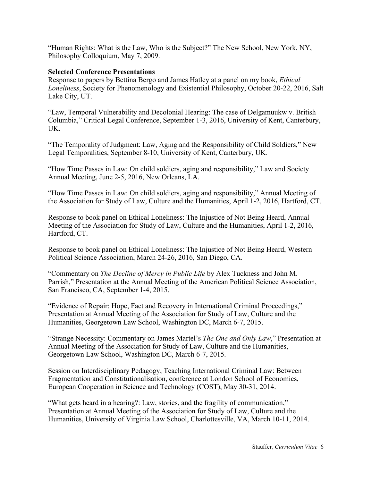"Human Rights: What is the Law, Who is the Subject?" The New School, New York, NY, Philosophy Colloquium, May 7, 2009.

# **Selected Conference Presentations**

Response to papers by Bettina Bergo and James Hatley at a panel on my book, *Ethical Loneliness*, Society for Phenomenology and Existential Philosophy, October 20-22, 2016, Salt Lake City, UT.

"Law, Temporal Vulnerability and Decolonial Hearing: The case of Delgamuukw v. British Columbia," Critical Legal Conference, September 1-3, 2016, University of Kent, Canterbury, UK.

"The Temporality of Judgment: Law, Aging and the Responsibility of Child Soldiers," New Legal Temporalities, September 8-10, University of Kent, Canterbury, UK.

"How Time Passes in Law: On child soldiers, aging and responsibility," Law and Society Annual Meeting, June 2-5, 2016, New Orleans, LA.

"How Time Passes in Law: On child soldiers, aging and responsibility," Annual Meeting of the Association for Study of Law, Culture and the Humanities, April 1-2, 2016, Hartford, CT.

Response to book panel on Ethical Loneliness: The Injustice of Not Being Heard, Annual Meeting of the Association for Study of Law, Culture and the Humanities, April 1-2, 2016, Hartford, CT.

Response to book panel on Ethical Loneliness: The Injustice of Not Being Heard, Western Political Science Association, March 24-26, 2016, San Diego, CA.

"Commentary on *The Decline of Mercy in Public Life* by Alex Tuckness and John M. Parrish," Presentation at the Annual Meeting of the American Political Science Association, San Francisco, CA, September 1-4, 2015.

"Evidence of Repair: Hope, Fact and Recovery in International Criminal Proceedings," Presentation at Annual Meeting of the Association for Study of Law, Culture and the Humanities, Georgetown Law School, Washington DC, March 6-7, 2015.

"Strange Necessity: Commentary on James Martel's *The One and Only Law*," Presentation at Annual Meeting of the Association for Study of Law, Culture and the Humanities, Georgetown Law School, Washington DC, March 6-7, 2015.

Session on Interdisciplinary Pedagogy, Teaching International Criminal Law: Between Fragmentation and Constitutionalisation, conference at London School of Economics, European Cooperation in Science and Technology (COST), May 30-31, 2014.

"What gets heard in a hearing?: Law, stories, and the fragility of communication," Presentation at Annual Meeting of the Association for Study of Law, Culture and the Humanities, University of Virginia Law School, Charlottesville, VA, March 10-11, 2014.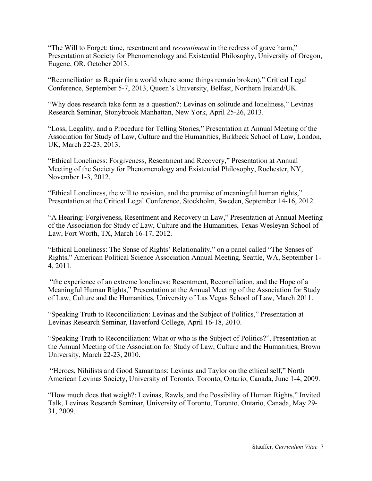"The Will to Forget: time, resentment and r*essentiment* in the redress of grave harm," Presentation at Society for Phenomenology and Existential Philosophy, University of Oregon, Eugene, OR, October 2013.

"Reconciliation as Repair (in a world where some things remain broken)," Critical Legal Conference, September 5-7, 2013, Queen's University, Belfast, Northern Ireland/UK.

"Why does research take form as a question?: Levinas on solitude and loneliness," Levinas Research Seminar, Stonybrook Manhattan, New York, April 25-26, 2013.

"Loss, Legality, and a Procedure for Telling Stories," Presentation at Annual Meeting of the Association for Study of Law, Culture and the Humanities, Birkbeck School of Law, London, UK, March 22-23, 2013.

"Ethical Loneliness: Forgiveness, Resentment and Recovery," Presentation at Annual Meeting of the Society for Phenomenology and Existential Philosophy, Rochester, NY, November 1-3, 2012.

"Ethical Loneliness, the will to revision, and the promise of meaningful human rights," Presentation at the Critical Legal Conference, Stockholm, Sweden, September 14-16, 2012.

"A Hearing: Forgiveness, Resentment and Recovery in Law," Presentation at Annual Meeting of the Association for Study of Law, Culture and the Humanities, Texas Wesleyan School of Law, Fort Worth, TX, March 16-17, 2012.

"Ethical Loneliness: The Sense of Rights' Relationality," on a panel called "The Senses of Rights," American Political Science Association Annual Meeting, Seattle, WA, September 1- 4, 2011.

"the experience of an extreme loneliness: Resentment, Reconciliation, and the Hope of a Meaningful Human Rights," Presentation at the Annual Meeting of the Association for Study of Law, Culture and the Humanities, University of Las Vegas School of Law, March 2011.

"Speaking Truth to Reconciliation: Levinas and the Subject of Politics," Presentation at Levinas Research Seminar, Haverford College, April 16-18, 2010.

"Speaking Truth to Reconciliation: What or who is the Subject of Politics?", Presentation at the Annual Meeting of the Association for Study of Law, Culture and the Humanities, Brown University, March 22-23, 2010.

"Heroes, Nihilists and Good Samaritans: Levinas and Taylor on the ethical self," North American Levinas Society, University of Toronto, Toronto, Ontario, Canada, June 1-4, 2009.

"How much does that weigh?: Levinas, Rawls, and the Possibility of Human Rights," Invited Talk, Levinas Research Seminar, University of Toronto, Toronto, Ontario, Canada, May 29- 31, 2009.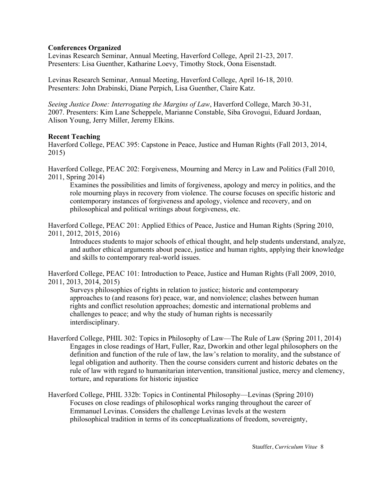# **Conferences Organized**

Levinas Research Seminar, Annual Meeting, Haverford College, April 21-23, 2017. Presenters: Lisa Guenther, Katharine Loevy, Timothy Stock, Oona Eisenstadt.

Levinas Research Seminar, Annual Meeting, Haverford College, April 16-18, 2010. Presenters: John Drabinski, Diane Perpich, Lisa Guenther, Claire Katz.

*Seeing Justice Done: Interrogating the Margins of Law*, Haverford College, March 30-31, 2007. Presenters: Kim Lane Scheppele, Marianne Constable, Siba Grovogui, Eduard Jordaan, Alison Young, Jerry Miller, Jeremy Elkins.

## **Recent Teaching**

Haverford College, PEAC 395: Capstone in Peace, Justice and Human Rights (Fall 2013, 2014, 2015)

Haverford College, PEAC 202: Forgiveness, Mourning and Mercy in Law and Politics (Fall 2010, 2011, Spring 2014)

Examines the possibilities and limits of forgiveness, apology and mercy in politics, and the role mourning plays in recovery from violence. The course focuses on specific historic and contemporary instances of forgiveness and apology, violence and recovery, and on philosophical and political writings about forgiveness, etc.

Haverford College, PEAC 201: Applied Ethics of Peace, Justice and Human Rights (Spring 2010, 2011, 2012, 2015, 2016)

Introduces students to major schools of ethical thought, and help students understand, analyze, and author ethical arguments about peace, justice and human rights, applying their knowledge and skills to contemporary real-world issues.

Haverford College, PEAC 101: Introduction to Peace, Justice and Human Rights (Fall 2009, 2010, 2011, 2013, 2014, 2015)

Surveys philosophies of rights in relation to justice; historic and contemporary approaches to (and reasons for) peace, war, and nonviolence; clashes between human rights and conflict resolution approaches; domestic and international problems and challenges to peace; and why the study of human rights is necessarily interdisciplinary.

- Haverford College, PHIL 302: Topics in Philosophy of Law—The Rule of Law (Spring 2011, 2014) Engages in close readings of Hart, Fuller, Raz, Dworkin and other legal philosophers on the definition and function of the rule of law, the law's relation to morality, and the substance of legal obligation and authority. Then the course considers current and historic debates on the rule of law with regard to humanitarian intervention, transitional justice, mercy and clemency, torture, and reparations for historic injustice
- Haverford College, PHIL 332b: Topics in Continental Philosophy—Levinas (Spring 2010) Focuses on close readings of philosophical works ranging throughout the career of Emmanuel Levinas. Considers the challenge Levinas levels at the western philosophical tradition in terms of its conceptualizations of freedom, sovereignty,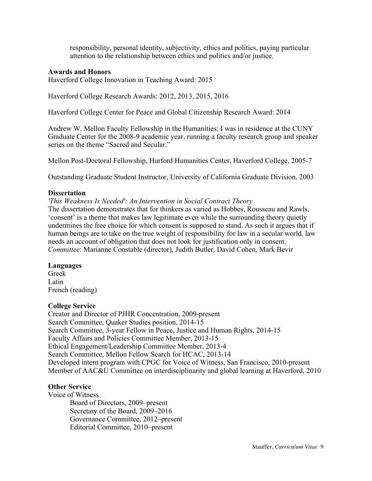responsibility, personal identity, subjectivity, ethics and politics, paying particular attention to the relationship between ethics and politics and/or justice.

# **Awards and Honors**

Haverford College Innovation in Teaching Award: 2015

Haverford College Research Awards: 2012, 2013, 2015, 2016

Haverford College Center for Peace and Global Citizenship Research Award: 2014

Andrew W. Mellon Faculty Fellowship in the Humanities: I was in residence at the CUNY Graduate Center for the 2008-9 academic year, running a faculty research group and speaker series on the theme "Sacred and Secular."

Mellon Post-Doctoral Fellowship, Hurford Humanities Center, Haverford College, 2005-7

Outstanding Graduate Student Instructor, University of California Graduate Division, 2003

## **Dissertation**

*'This Weakness Is Needed': An Intervention in Social Contract Theory* 

The dissertation demonstrates that for thinkers as varied as Hobbes, Rousseau and Rawls, 'consent' is a theme that makes law legitimate even while the surrounding theory quietly undermines the free choice for which consent is supposed to stand. As such it argues that if human beings are to take on the true weight of responsibility for law in a secular world, law needs an account of obligation that does not look for justification only in consent. *Committee*: Marianne Constable (director), Judith Butler, David Cohen, Mark Bevir

### **Languages**

Greek Latin French (reading)

### **College Service**

Creator and Director of PJHR Concentration, 2009-present Search Committee, Quaker Studies position, 2014-15 Search Committee, 3-year Fellow in Peace, Justice and Human Rights, 2014-15 Faculty Affairs and Policies Committee Member, 2013-15 Ethical Engagement/Leadership Committee Member, 2013-4 Search Committee, Mellon Fellow Search for HCAC, 2013-14 Developed intern program with CPGC for Voice of Witness, San Francisco, 2010-present Member of AAC&U Committee on interdisciplinarity and global learning at Haverford, 2010

# **Other Service**

Voice of Witness

Board of Directors, 2009–present Secretary of the Board, 2009–2016 Governance Committee, 2012–present Editorial Committee, 2010–present